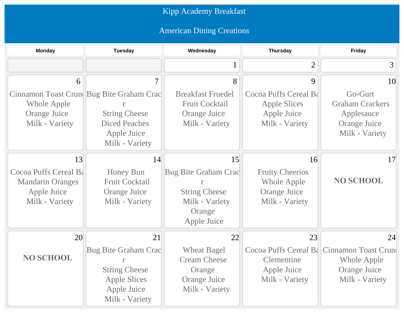## Kipp Academy Breakfast

## American Dining Creations

| <b>Monday</b>           | <b>Tuesday</b>                           | Wednesday                | <b>Thursday</b>        | <b>Friday</b>                              |
|-------------------------|------------------------------------------|--------------------------|------------------------|--------------------------------------------|
|                         |                                          |                          | $\overline{2}$         | 3                                          |
| 6                       | $\overline{7}$                           | 8                        | 9                      | 10                                         |
|                         | Cinnamon Toast Crun Bug Bite Graham Crac | <b>Breakfast Fruedel</b> | Cocoa Puffs Cereal Ba  | Go-Gurt                                    |
| <b>Whole Apple</b>      |                                          | <b>Fruit Cocktail</b>    | <b>Apple Slices</b>    | <b>Graham Crackers</b>                     |
| Orange Juice            | <b>String Cheese</b>                     | Orange Juice             | Apple Juice            | Applesauce                                 |
| Milk - Variety          | <b>Diced Peaches</b>                     | Milk - Variety           | Milk - Variety         | Orange Juice                               |
|                         | Apple Juice                              |                          |                        | Milk - Variety                             |
|                         | Milk - Variety                           |                          |                        |                                            |
| 13                      | 14                                       | 15                       | 16                     | 17                                         |
| Cocoa Puffs Cereal Ba   | <b>Honey Bun</b>                         | Bug Bite Graham Crac     | <b>Fruity Cheerios</b> |                                            |
| <b>Mandarin Oranges</b> | <b>Fruit Cocktail</b>                    |                          | Whole Apple            | <b>NO SCHOOL</b>                           |
| Apple Juice             | <b>Orange Juice</b>                      | <b>String Cheese</b>     | <b>Orange Juice</b>    |                                            |
| Milk - Variety          | Milk - Variety                           | Milk - Variety           | Milk - Variety         |                                            |
|                         |                                          | Orange                   |                        |                                            |
|                         |                                          | Apple Juice              |                        |                                            |
| 20                      | 21                                       | 22                       | 23                     | 24                                         |
|                         | <b>Bug Bite Graham Crac</b>              | <b>Wheat Bagel</b>       |                        | Cocoa Puffs Cereal B& Cinnamon Toast Crune |
| <b>NO SCHOOL</b>        |                                          | <b>Cream Cheese</b>      | Clementine             | Whole Apple                                |
|                         | <b>String Cheese</b>                     | Orange                   | Apple Juice            | Orange Juice                               |
|                         | <b>Apple Slices</b>                      | Orange Juice             | Milk - Variety         | Milk - Variety                             |
|                         | Apple Juice                              | Milk - Variety           |                        |                                            |
|                         | Milk - Variety                           |                          |                        |                                            |